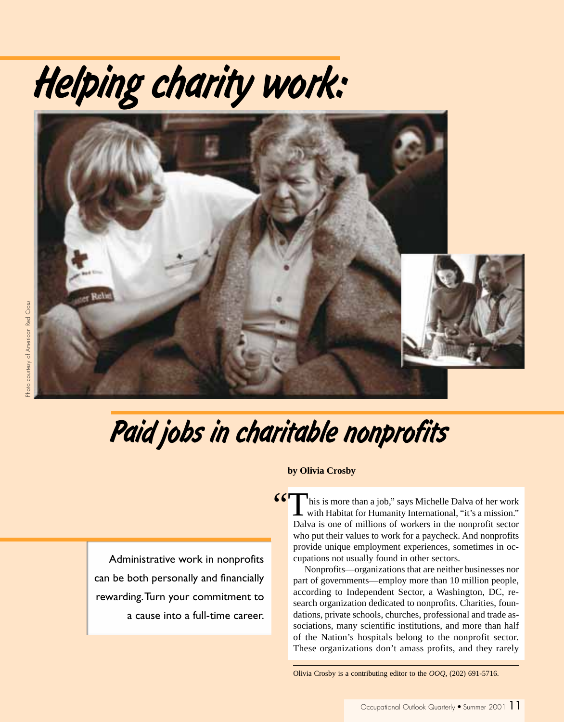# *Helping charity work:*



## *Paid jobs in charitable nonprofits*

Administrative work in nonprofits can be both personally and financially rewarding. Turn your commitment to a cause into a full-time career.

#### **by Olivia Crosby**

his is more than a job," says Michelle Dalva of her work **6 This is more than a job," says Michelle Dalva of her work** with Habitat for Humanity International, "it's a mission." Dalva is one of millions of workers in the nonprofit sector who put their values to work for a paycheck. And nonprofits provide unique employment experiences, sometimes in occupations not usually found in other sectors.

Nonprofits—organizations that are neither businesses nor part of governments—employ more than 10 million people, according to Independent Sector, a Washington, DC, research organization dedicated to nonprofits. Charities, foundations, private schools, churches, professional and trade associations, many scientific institutions, and more than half of the Nation's hospitals belong to the nonprofit sector. These organizations don't amass profits, and they rarely

Olivia Crosby is a contributing editor to the *OOQ*, (202) 691-5716.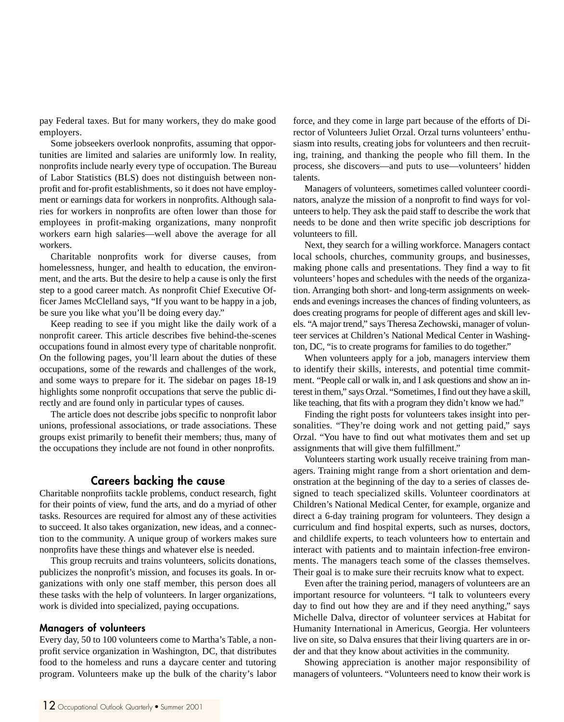pay Federal taxes. But for many workers, they do make good employers.

Some jobseekers overlook nonprofits, assuming that opportunities are limited and salaries are uniformly low. In reality, nonprofits include nearly every type of occupation. The Bureau of Labor Statistics (BLS) does not distinguish between nonprofit and for-profit establishments, so it does not have employment or earnings data for workers in nonprofits. Although salaries for workers in nonprofits are often lower than those for employees in profit-making organizations, many nonprofit workers earn high salaries—well above the average for all workers.

Charitable nonprofits work for diverse causes, from homelessness, hunger, and health to education, the environment, and the arts. But the desire to help a cause is only the first step to a good career match. As nonprofit Chief Executive Officer James McClelland says, "If you want to be happy in a job, be sure you like what you'll be doing every day."

Keep reading to see if you might like the daily work of a nonprofit career. This article describes five behind-the-scenes occupations found in almost every type of charitable nonprofit. On the following pages, you'll learn about the duties of these occupations, some of the rewards and challenges of the work, and some ways to prepare for it. The sidebar on pages 18-19 highlights some nonprofit occupations that serve the public directly and are found only in particular types of causes.

The article does not describe jobs specific to nonprofit labor unions, professional associations, or trade associations. These groups exist primarily to benefit their members; thus, many of the occupations they include are not found in other nonprofits.

#### **Careers backing the cause**

Charitable nonprofiits tackle problems, conduct research, fight for their points of view, fund the arts, and do a myriad of other tasks. Resources are required for almost any of these activities to succeed. It also takes organization, new ideas, and a connection to the community. A unique group of workers makes sure nonprofits have these things and whatever else is needed.

This group recruits and trains volunteers, solicits donations, publicizes the nonprofit's mission, and focuses its goals. In organizations with only one staff member, this person does all these tasks with the help of volunteers. In larger organizations, work is divided into specialized, paying occupations.

#### **Managers of volunteers**

Every day, 50 to 100 volunteers come to Martha's Table, a nonprofit service organization in Washington, DC, that distributes food to the homeless and runs a daycare center and tutoring program. Volunteers make up the bulk of the charity's labor force, and they come in large part because of the efforts of Director of Volunteers Juliet Orzal. Orzal turns volunteers' enthusiasm into results, creating jobs for volunteers and then recruiting, training, and thanking the people who fill them. In the process, she discovers—and puts to use—volunteers' hidden talents.

Managers of volunteers, sometimes called volunteer coordinators, analyze the mission of a nonprofit to find ways for volunteers to help. They ask the paid staff to describe the work that needs to be done and then write specific job descriptions for volunteers to fill.

Next, they search for a willing workforce. Managers contact local schools, churches, community groups, and businesses, making phone calls and presentations. They find a way to fit volunteers' hopes and schedules with the needs of the organization. Arranging both short- and long-term assignments on weekends and evenings increases the chances of finding volunteers, as does creating programs for people of different ages and skill levels. "A major trend," says Theresa Zechowski, manager of volunteer services at Children's National Medical Center in Washington, DC, "is to create programs for families to do together."

When volunteers apply for a job, managers interview them to identify their skills, interests, and potential time commitment. "People call or walk in, and I ask questions and show an interest in them," says Orzal. "Sometimes, I find out they have a skill, like teaching, that fits with a program they didn't know we had."

Finding the right posts for volunteers takes insight into personalities. "They're doing work and not getting paid," says Orzal. "You have to find out what motivates them and set up assignments that will give them fulfillment."

Volunteers starting work usually receive training from managers. Training might range from a short orientation and demonstration at the beginning of the day to a series of classes designed to teach specialized skills. Volunteer coordinators at Children's National Medical Center, for example, organize and direct a 6-day training program for volunteers. They design a curriculum and find hospital experts, such as nurses, doctors, and childlife experts, to teach volunteers how to entertain and interact with patients and to maintain infection-free environments. The managers teach some of the classes themselves. Their goal is to make sure their recruits know what to expect.

Even after the training period, managers of volunteers are an important resource for volunteers. "I talk to volunteers every day to find out how they are and if they need anything," says Michelle Dalva, director of volunteer services at Habitat for Humanity International in Americus, Georgia. Her volunteers live on site, so Dalva ensures that their living quarters are in order and that they know about activities in the community.

Showing appreciation is another major responsibility of managers of volunteers. "Volunteers need to know their work is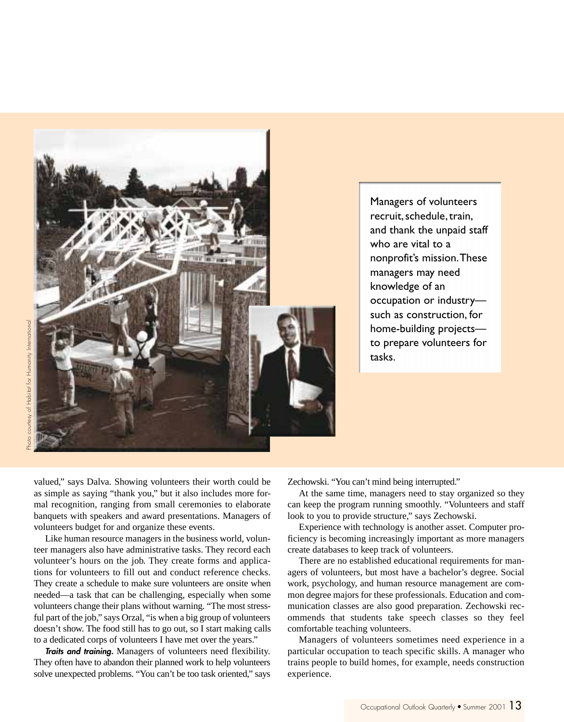

Managers of volunteers recruit, schedule, train, and thank the unpaid staff who are vital to a nonprofit's mission. These managers may need knowledge of an occupation or industry such as construction, for home-building projects to prepare volunteers for tasks.

valued," says Dalva. Showing volunteers their worth could be as simple as saying "thank you," but it also includes more formal recognition, ranging from small ceremonies to elaborate banquets with speakers and award presentations. Managers of volunteers budget for and organize these events.

Like human resource managers in the business world, volunteer managers also have administrative tasks. They record each volunteer's hours on the job. They create forms and applications for volunteers to fill out and conduct reference checks. They create a schedule to make sure volunteers are onsite when needed—a task that can be challenging, especially when some volunteers change their plans without warning. "The most stressful part of the job," says Orzal, "is when a big group of volunteers doesn't show. The food still has to go out, so I start making calls to a dedicated corps of volunteers I have met over the years."

**Traits and training.** Managers of volunteers need flexibility. They often have to abandon their planned work to help volunteers solve unexpected problems. "You can't be too task oriented," says

Zechowski. "You can't mind being interrupted."

At the same time, managers need to stay organized so they can keep the program running smoothly. "Volunteers and staff look to you to provide structure," says Zechowski.

Experience with technology is another asset. Computer proficiency is becoming increasingly important as more managers create databases to keep track of volunteers.

There are no established educational requirements for managers of volunteers, but most have a bachelor's degree. Social work, psychology, and human resource management are common degree majors for these professionals. Education and communication classes are also good preparation. Zechowski recommends that students take speech classes so they feel comfortable teaching volunteers.

Managers of volunteers sometimes need experience in a particular occupation to teach specific skills. A manager who trains people to build homes, for example, needs construction experience.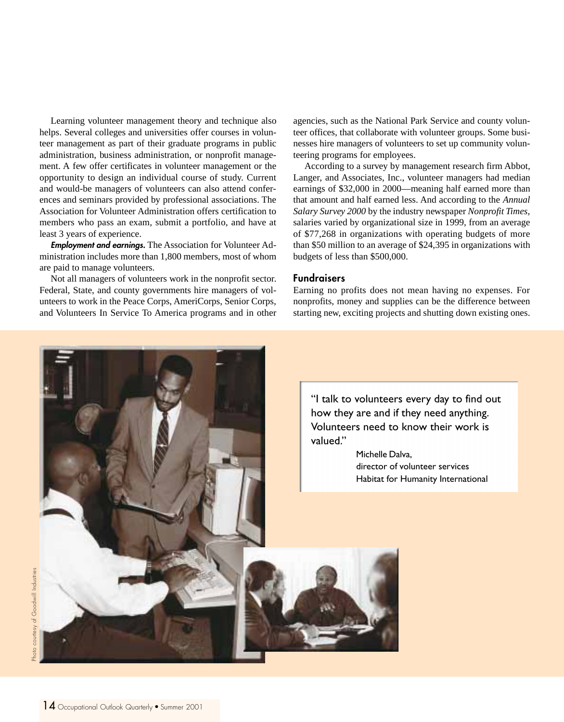Learning volunteer management theory and technique also helps. Several colleges and universities offer courses in volunteer management as part of their graduate programs in public administration, business administration, or nonprofit management. A few offer certificates in volunteer management or the opportunity to design an individual course of study. Current and would-be managers of volunteers can also attend conferences and seminars provided by professional associations. The Association for Volunteer Administration offers certification to members who pass an exam, submit a portfolio, and have at least 3 years of experience.

**Employment and earnings.** The Association for Volunteer Administration includes more than 1,800 members, most of whom are paid to manage volunteers.

Not all managers of volunteers work in the nonprofit sector. Federal, State, and county governments hire managers of volunteers to work in the Peace Corps, AmeriCorps, Senior Corps, and Volunteers In Service To America programs and in other agencies, such as the National Park Service and county volunteer offices, that collaborate with volunteer groups. Some businesses hire managers of volunteers to set up community volunteering programs for employees.

According to a survey by management research firm Abbot, Langer, and Associates, Inc., volunteer managers had median earnings of \$32,000 in 2000—meaning half earned more than that amount and half earned less. And according to the *Annual Salary Survey 2000* by the industry newspaper *Nonprofit Times*, salaries varied by organizational size in 1999, from an average of \$77,268 in organizations with operating budgets of more than \$50 million to an average of \$24,395 in organizations with budgets of less than \$500,000.

#### **Fundraisers**

Earning no profits does not mean having no expenses. For nonprofits, money and supplies can be the difference between starting new, exciting projects and shutting down existing ones.

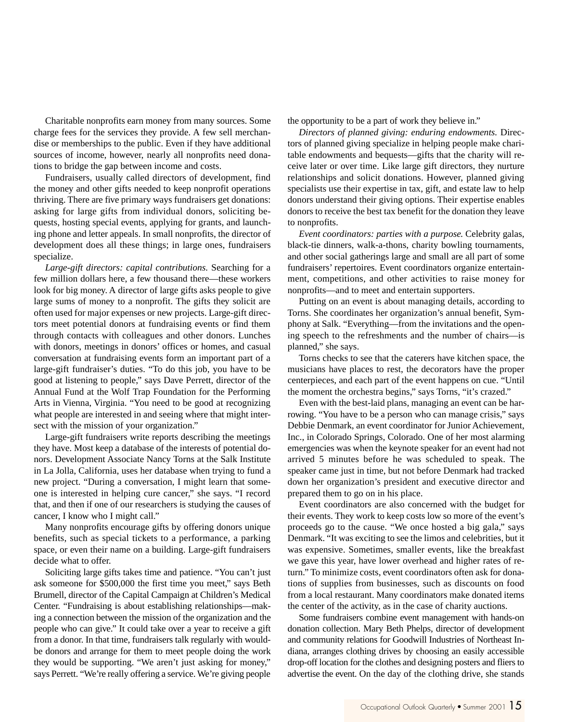Charitable nonprofits earn money from many sources. Some charge fees for the services they provide. A few sell merchandise or memberships to the public. Even if they have additional sources of income, however, nearly all nonprofits need donations to bridge the gap between income and costs.

Fundraisers, usually called directors of development, find the money and other gifts needed to keep nonprofit operations thriving. There are five primary ways fundraisers get donations: asking for large gifts from individual donors, soliciting bequests, hosting special events, applying for grants, and launching phone and letter appeals. In small nonprofits, the director of development does all these things; in large ones, fundraisers specialize.

*Large-gift directors: capital contributions.* Searching for a few million dollars here, a few thousand there—these workers look for big money. A director of large gifts asks people to give large sums of money to a nonprofit. The gifts they solicit are often used for major expenses or new projects. Large-gift directors meet potential donors at fundraising events or find them through contacts with colleagues and other donors. Lunches with donors, meetings in donors' offices or homes, and casual conversation at fundraising events form an important part of a large-gift fundraiser's duties. "To do this job, you have to be good at listening to people," says Dave Perrett, director of the Annual Fund at the Wolf Trap Foundation for the Performing Arts in Vienna, Virginia. "You need to be good at recognizing what people are interested in and seeing where that might intersect with the mission of your organization."

Large-gift fundraisers write reports describing the meetings they have. Most keep a database of the interests of potential donors. Development Associate Nancy Torns at the Salk Institute in La Jolla, California, uses her database when trying to fund a new project. "During a conversation, I might learn that someone is interested in helping cure cancer," she says. "I record that, and then if one of our researchers is studying the causes of cancer, I know who I might call."

Many nonprofits encourage gifts by offering donors unique benefits, such as special tickets to a performance, a parking space, or even their name on a building. Large-gift fundraisers decide what to offer.

Soliciting large gifts takes time and patience. "You can't just ask someone for \$500,000 the first time you meet," says Beth Brumell, director of the Capital Campaign at Children's Medical Center. "Fundraising is about establishing relationships—making a connection between the mission of the organization and the people who can give." It could take over a year to receive a gift from a donor. In that time, fundraisers talk regularly with wouldbe donors and arrange for them to meet people doing the work they would be supporting. "We aren't just asking for money," says Perrett. "We're really offering a service. We're giving people

#### the opportunity to be a part of work they believe in."

*Directors of planned giving: enduring endowments.* Directors of planned giving specialize in helping people make charitable endowments and bequests—gifts that the charity will receive later or over time. Like large gift directors, they nurture relationships and solicit donations. However, planned giving specialists use their expertise in tax, gift, and estate law to help donors understand their giving options. Their expertise enables donors to receive the best tax benefit for the donation they leave to nonprofits.

*Event coordinators: parties with a purpose.* Celebrity galas, black-tie dinners, walk-a-thons, charity bowling tournaments, and other social gatherings large and small are all part of some fundraisers' repertoires. Event coordinators organize entertainment, competitions, and other activities to raise money for nonprofits—and to meet and entertain supporters.

Putting on an event is about managing details, according to Torns. She coordinates her organization's annual benefit, Symphony at Salk. "Everything—from the invitations and the opening speech to the refreshments and the number of chairs—is planned," she says.

Torns checks to see that the caterers have kitchen space, the musicians have places to rest, the decorators have the proper centerpieces, and each part of the event happens on cue. "Until the moment the orchestra begins," says Torns, "it's crazed."

Even with the best-laid plans, managing an event can be harrowing. "You have to be a person who can manage crisis," says Debbie Denmark, an event coordinator for Junior Achievement, Inc., in Colorado Springs, Colorado. One of her most alarming emergencies was when the keynote speaker for an event had not arrived 5 minutes before he was scheduled to speak. The speaker came just in time, but not before Denmark had tracked down her organization's president and executive director and prepared them to go on in his place.

Event coordinators are also concerned with the budget for their events. They work to keep costs low so more of the event's proceeds go to the cause. "We once hosted a big gala," says Denmark. "It was exciting to see the limos and celebrities, but it was expensive. Sometimes, smaller events, like the breakfast we gave this year, have lower overhead and higher rates of return." To minimize costs, event coordinators often ask for donations of supplies from businesses, such as discounts on food from a local restaurant. Many coordinators make donated items the center of the activity, as in the case of charity auctions.

Some fundraisers combine event management with hands-on donation collection. Mary Beth Phelps, director of development and community relations for Goodwill Industries of Northeast Indiana, arranges clothing drives by choosing an easily accessible drop-off location for the clothes and designing posters and fliers to advertise the event. On the day of the clothing drive, she stands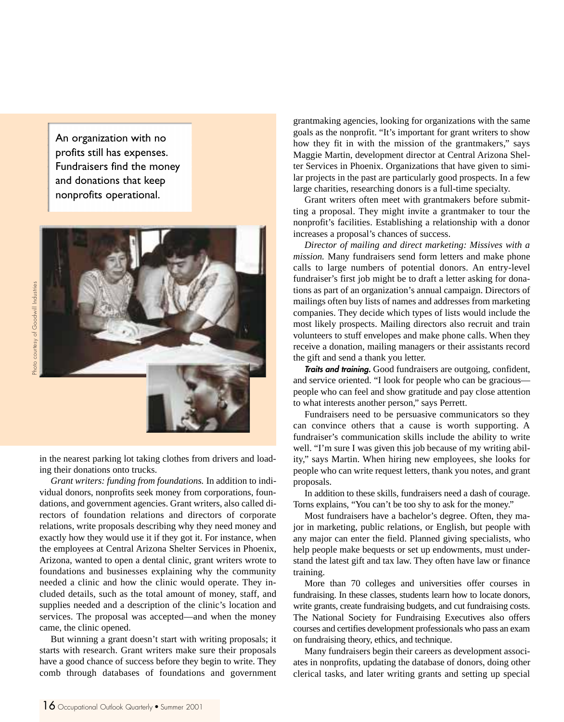An organization with no profits still has expenses. Fundraisers find the money and donations that keep nonprofits operational.



in the nearest parking lot taking clothes from drivers and loading their donations onto trucks.

*Grant writers: funding from foundations.* In addition to individual donors, nonprofits seek money from corporations, foundations, and government agencies. Grant writers, also called directors of foundation relations and directors of corporate relations, write proposals describing why they need money and exactly how they would use it if they got it. For instance, when the employees at Central Arizona Shelter Services in Phoenix, Arizona, wanted to open a dental clinic, grant writers wrote to foundations and businesses explaining why the community needed a clinic and how the clinic would operate. They included details, such as the total amount of money, staff, and supplies needed and a description of the clinic's location and services. The proposal was accepted—and when the money came, the clinic opened.

But winning a grant doesn't start with writing proposals; it starts with research. Grant writers make sure their proposals have a good chance of success before they begin to write. They comb through databases of foundations and government grantmaking agencies, looking for organizations with the same goals as the nonprofit. "It's important for grant writers to show how they fit in with the mission of the grantmakers," says Maggie Martin, development director at Central Arizona Shelter Services in Phoenix. Organizations that have given to similar projects in the past are particularly good prospects. In a few large charities, researching donors is a full-time specialty.

Grant writers often meet with grantmakers before submitting a proposal. They might invite a grantmaker to tour the nonprofit's facilities. Establishing a relationship with a donor increases a proposal's chances of success.

*Director of mailing and direct marketing: Missives with a mission.* Many fundraisers send form letters and make phone calls to large numbers of potential donors. An entry-level fundraiser's first job might be to draft a letter asking for donations as part of an organization's annual campaign. Directors of mailings often buy lists of names and addresses from marketing companies. They decide which types of lists would include the most likely prospects. Mailing directors also recruit and train volunteers to stuff envelopes and make phone calls. When they receive a donation, mailing managers or their assistants record the gift and send a thank you letter.

**Traits and training.** Good fundraisers are outgoing, confident, and service oriented. "I look for people who can be gracious people who can feel and show gratitude and pay close attention to what interests another person," says Perrett.

Fundraisers need to be persuasive communicators so they can convince others that a cause is worth supporting. A fundraiser's communication skills include the ability to write well. "I'm sure I was given this job because of my writing ability," says Martin. When hiring new employees, she looks for people who can write request letters, thank you notes, and grant proposals.

In addition to these skills, fundraisers need a dash of courage. Torns explains, "You can't be too shy to ask for the money."

Most fundraisers have a bachelor's degree. Often, they major in marketing, public relations, or English, but people with any major can enter the field. Planned giving specialists, who help people make bequests or set up endowments, must understand the latest gift and tax law. They often have law or finance training.

More than 70 colleges and universities offer courses in fundraising. In these classes, students learn how to locate donors, write grants, create fundraising budgets, and cut fundraising costs. The National Society for Fundraising Executives also offers courses and certifies development professionals who pass an exam on fundraising theory, ethics, and technique.

Many fundraisers begin their careers as development associates in nonprofits, updating the database of donors, doing other clerical tasks, and later writing grants and setting up special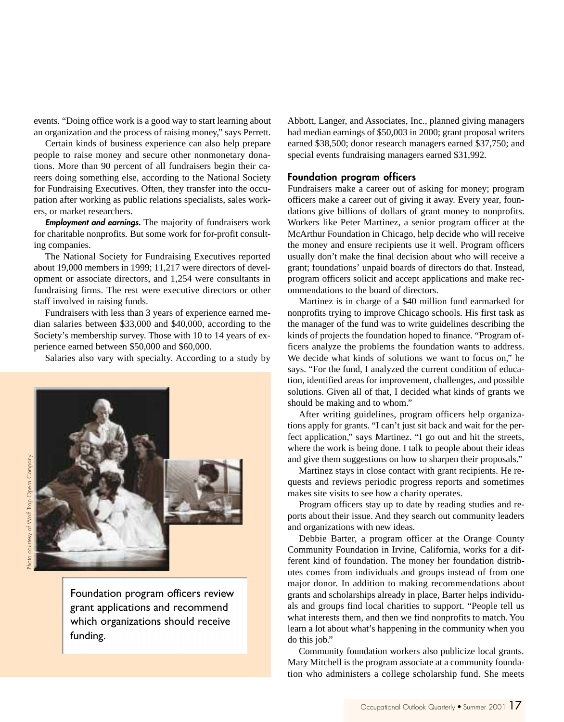events. "Doing office work is a good way to start learning about an organization and the process of raising money," says Perrett.

Certain kinds of business experience can also help prepare people to raise money and secure other nonmonetary donations. More than 90 percent of all fundraisers begin their careers doing something else, according to the National Society for Fundraising Executives. Often, they transfer into the occupation after working as public relations specialists, sales workers, or market researchers.

**Employment and earnings.** The majority of fundraisers work for charitable nonprofits. But some work for for-profit consulting companies.

The National Society for Fundraising Executives reported about 19,000 members in 1999; 11,217 were directors of development or associate directors, and 1,254 were consultants in fundraising firms. The rest were executive directors or other staff involved in raising funds.

Fundraisers with less than 3 years of experience earned median salaries between \$33,000 and \$40,000, according to the Society's membership survey. Those with 10 to 14 years of experience earned between \$50,000 and \$60,000.

Salaries also vary with specialty. According to a study by



Abbott, Langer, and Associates, Inc., planned giving managers had median earnings of \$50,003 in 2000; grant proposal writers earned \$38,500; donor research managers earned \$37,750; and special events fundraising managers earned \$31,992.

#### **Foundation program officers**

Fundraisers make a career out of asking for money; program officers make a career out of giving it away. Every year, foundations give billions of dollars of grant money to nonprofits. Workers like Peter Martinez, a senior program officer at the McArthur Foundation in Chicago, help decide who will receive the money and ensure recipients use it well. Program officers usually don't make the final decision about who will receive a grant; foundations' unpaid boards of directors do that. Instead, program officers solicit and accept applications and make recommendations to the board of directors.

Martinez is in charge of a \$40 million fund earmarked for nonprofits trying to improve Chicago schools. His first task as the manager of the fund was to write guidelines describing the kinds of projects the foundation hoped to finance. "Program officers analyze the problems the foundation wants to address. We decide what kinds of solutions we want to focus on," he says. "For the fund, I analyzed the current condition of education, identified areas for improvement, challenges, and possible solutions. Given all of that, I decided what kinds of grants we should be making and to whom."

After writing guidelines, program officers help organizations apply for grants. "I can't just sit back and wait for the perfect application," says Martinez. "I go out and hit the streets, where the work is being done. I talk to people about their ideas and give them suggestions on how to sharpen their proposals."

Martinez stays in close contact with grant recipients. He requests and reviews periodic progress reports and sometimes makes site visits to see how a charity operates.

Program officers stay up to date by reading studies and reports about their issue. And they search out community leaders and organizations with new ideas.

Debbie Barter, a program officer at the Orange County Community Foundation in Irvine, California, works for a different kind of foundation. The money her foundation distributes comes from individuals and groups instead of from one major donor. In addition to making recommendations about grants and scholarships already in place, Barter helps individuals and groups find local charities to support. "People tell us what interests them, and then we find nonprofits to match. You learn a lot about what's happening in the community when you do this job."

Community foundation workers also publicize local grants. Mary Mitchell is the program associate at a community foundation who administers a college scholarship fund. She meets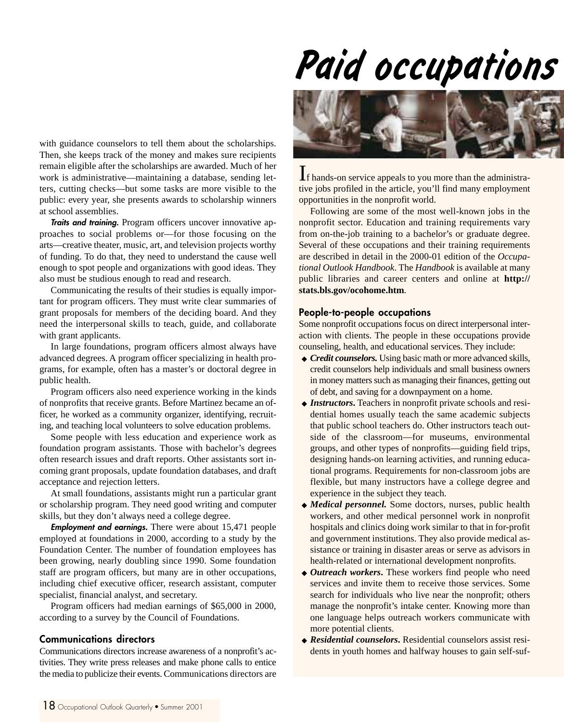# *Paid occupations*

with guidance counselors to tell them about the scholarships. Then, she keeps track of the money and makes sure recipients remain eligible after the scholarships are awarded. Much of her work is administrative—maintaining a database, sending letters, cutting checks—but some tasks are more visible to the public: every year, she presents awards to scholarship winners at school assemblies.

**Traits and training.** Program officers uncover innovative approaches to social problems or—for those focusing on the arts—creative theater, music, art, and television projects worthy of funding. To do that, they need to understand the cause well enough to spot people and organizations with good ideas. They also must be studious enough to read and research.

Communicating the results of their studies is equally important for program officers. They must write clear summaries of grant proposals for members of the deciding board. And they need the interpersonal skills to teach, guide, and collaborate with grant applicants.

In large foundations, program officers almost always have advanced degrees. A program officer specializing in health programs, for example, often has a master's or doctoral degree in public health.

Program officers also need experience working in the kinds of nonprofits that receive grants. Before Martinez became an officer, he worked as a community organizer, identifying, recruiting, and teaching local volunteers to solve education problems.

Some people with less education and experience work as foundation program assistants. Those with bachelor's degrees often research issues and draft reports. Other assistants sort incoming grant proposals, update foundation databases, and draft acceptance and rejection letters.

At small foundations, assistants might run a particular grant or scholarship program. They need good writing and computer skills, but they don't always need a college degree.

**Employment and earnings.** There were about 15,471 people employed at foundations in 2000, according to a study by the Foundation Center. The number of foundation employees has been growing, nearly doubling since 1990. Some foundation staff are program officers, but many are in other occupations, including chief executive officer, research assistant, computer specialist, financial analyst, and secretary.

Program officers had median earnings of \$65,000 in 2000, according to a survey by the Council of Foundations.

#### **Communications directors**

Communications directors increase awareness of a nonprofit's activities. They write press releases and make phone calls to entice the media to publicize their events. Communications directors are



If hands-on service appeals to you more than the administrative jobs profiled in the article, you'll find many employment opportunities in the nonprofit world.

Following are some of the most well-known jobs in the nonprofit sector. Education and training requirements vary from on-the-job training to a bachelor's or graduate degree. Several of these occupations and their training requirements are described in detail in the 2000-01 edition of the *Occupational Outlook Handbook*. The *Handbook* is available at many public libraries and career centers and online at **http:// stats.bls.gov/ocohome.htm**.

#### **People-to-people occupations**

Some nonprofit occupations focus on direct interpersonal interaction with clients. The people in these occupations provide counseling, health, and educational services. They include:

- ◆ *Credit counselors.* Using basic math or more advanced skills, credit counselors help individuals and small business owners in money matters such as managing their finances, getting out of debt, and saving for a downpayment on a home.
- ◆ *Instructors***.** Teachers in nonprofit private schools and residential homes usually teach the same academic subjects that public school teachers do. Other instructors teach outside of the classroom—for museums, environmental groups, and other types of nonprofits—guiding field trips, designing hands-on learning activities, and running educational programs. Requirements for non-classroom jobs are flexible, but many instructors have a college degree and experience in the subject they teach.
- ◆ *Medical personnel.* Some doctors, nurses, public health workers, and other medical personnel work in nonprofit hospitals and clinics doing work similar to that in for-profit and government institutions. They also provide medical assistance or training in disaster areas or serve as advisors in health-related or international development nonprofits.
- ◆ *Outreach workers***.** These workers find people who need services and invite them to receive those services. Some search for individuals who live near the nonprofit; others manage the nonprofit's intake center. Knowing more than one language helps outreach workers communicate with more potential clients.
- ◆ *Residential counselors***.** Residential counselors assist residents in youth homes and halfway houses to gain self-suf-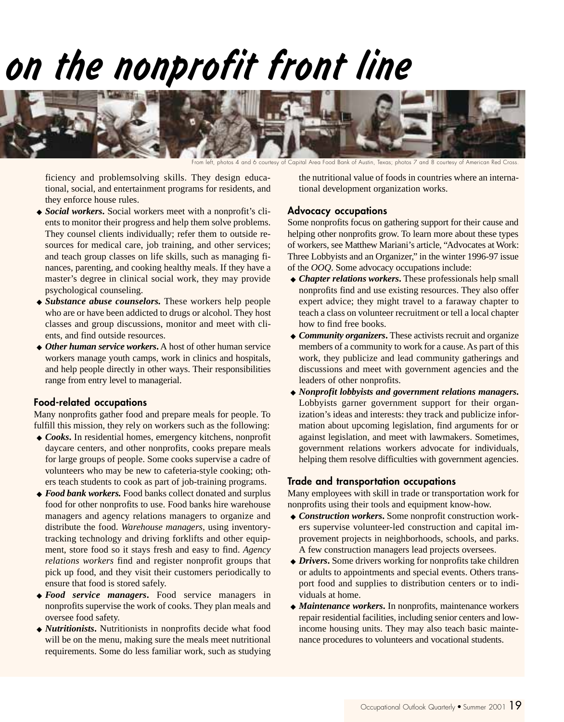# *on the nonprofit front line*



From left, photos 4 and 6 courtesy of Capital Area Food Bank of Austin, Texas; photos 7 and 8 courtesy of American Red Cross.

ficiency and problemsolving skills. They design educational, social, and entertainment programs for residents, and they enforce house rules.

- ◆ *Social workers***.** Social workers meet with a nonprofit's clients to monitor their progress and help them solve problems. They counsel clients individually; refer them to outside resources for medical care, job training, and other services; and teach group classes on life skills, such as managing finances, parenting, and cooking healthy meals. If they have a master's degree in clinical social work, they may provide psychological counseling.
- ◆ *Substance abuse counselors.* These workers help people who are or have been addicted to drugs or alcohol. They host classes and group discussions, monitor and meet with clients, and find outside resources.
- ◆ *Other human service workers***.** A host of other human service workers manage youth camps, work in clinics and hospitals, and help people directly in other ways. Their responsibilities range from entry level to managerial.

#### **Food-related occupations**

Many nonprofits gather food and prepare meals for people. To fulfill this mission, they rely on workers such as the following:

- ◆ *Cooks***.** In residential homes, emergency kitchens, nonprofit daycare centers, and other nonprofits, cooks prepare meals for large groups of people. Some cooks supervise a cadre of volunteers who may be new to cafeteria-style cooking; others teach students to cook as part of job-training programs.
- ◆ *Food bank workers*. Food banks collect donated and surplus food for other nonprofits to use. Food banks hire warehouse managers and agency relations managers to organize and distribute the food. *Warehouse managers*, using inventorytracking technology and driving forklifts and other equipment, store food so it stays fresh and easy to find. *Agency relations workers* find and register nonprofit groups that pick up food, and they visit their customers periodically to ensure that food is stored safely.
- ◆ *Food service managers***.** Food service managers in nonprofits supervise the work of cooks. They plan meals and oversee food safety.
- ◆ *Nutritionists***.** Nutritionists in nonprofits decide what food will be on the menu, making sure the meals meet nutritional requirements. Some do less familiar work, such as studying

the nutritional value of foods in countries where an international development organization works.

#### **Advocacy occupations**

Some nonprofits focus on gathering support for their cause and helping other nonprofits grow. To learn more about these types of workers, see Matthew Mariani's article, "Advocates at Work: Three Lobbyists and an Organizer," in the winter 1996-97 issue of the *OOQ*. Some advocacy occupations include:

- ◆ *Chapter relations workers***.** These professionals help small nonprofits find and use existing resources. They also offer expert advice; they might travel to a faraway chapter to teach a class on volunteer recruitment or tell a local chapter how to find free books.
- ◆ *Community organizers***.** These activists recruit and organize members of a community to work for a cause. As part of this work, they publicize and lead community gatherings and discussions and meet with government agencies and the leaders of other nonprofits.
- ◆ *Nonprofit lobbyists and government relations managers***.** Lobbyists garner government support for their organization's ideas and interests: they track and publicize information about upcoming legislation, find arguments for or against legislation, and meet with lawmakers. Sometimes, government relations workers advocate for individuals, helping them resolve difficulties with government agencies.

#### **Trade and transportation occupations**

Many employees with skill in trade or transportation work for nonprofits using their tools and equipment know-how.

- ◆ *Construction workers***.** Some nonprofit construction workers supervise volunteer-led construction and capital improvement projects in neighborhoods, schools, and parks. A few construction managers lead projects oversees.
- ◆ *Drivers***.** Some drivers working for nonprofits take children or adults to appointments and special events. Others transport food and supplies to distribution centers or to individuals at home.
- ◆ *Maintenance workers*. In nonprofits, maintenance workers repair residential facilities, including senior centers and lowincome housing units. They may also teach basic maintenance procedures to volunteers and vocational students.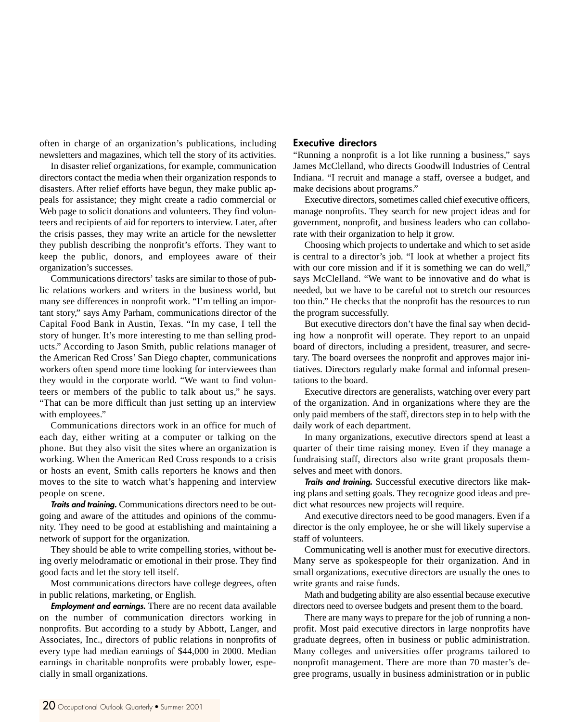often in charge of an organization's publications, including newsletters and magazines, which tell the story of its activities.

In disaster relief organizations, for example, communication directors contact the media when their organization responds to disasters. After relief efforts have begun, they make public appeals for assistance; they might create a radio commercial or Web page to solicit donations and volunteers. They find volunteers and recipients of aid for reporters to interview. Later, after the crisis passes, they may write an article for the newsletter they publish describing the nonprofit's efforts. They want to keep the public, donors, and employees aware of their organization's successes.

Communications directors' tasks are similar to those of public relations workers and writers in the business world, but many see differences in nonprofit work. "I'm telling an important story," says Amy Parham, communications director of the Capital Food Bank in Austin, Texas. "In my case, I tell the story of hunger. It's more interesting to me than selling products." According to Jason Smith, public relations manager of the American Red Cross' San Diego chapter, communications workers often spend more time looking for interviewees than they would in the corporate world. "We want to find volunteers or members of the public to talk about us," he says. "That can be more difficult than just setting up an interview with employees."

Communications directors work in an office for much of each day, either writing at a computer or talking on the phone. But they also visit the sites where an organization is working. When the American Red Cross responds to a crisis or hosts an event, Smith calls reporters he knows and then moves to the site to watch what's happening and interview people on scene.

**Traits and training.** Communications directors need to be outgoing and aware of the attitudes and opinions of the community. They need to be good at establishing and maintaining a network of support for the organization.

They should be able to write compelling stories, without being overly melodramatic or emotional in their prose. They find good facts and let the story tell itself.

Most communications directors have college degrees, often in public relations, marketing, or English.

**Employment and earnings.** There are no recent data available on the number of communication directors working in nonprofits. But according to a study by Abbott, Langer, and Associates, Inc., directors of public relations in nonprofits of every type had median earnings of \$44,000 in 2000. Median earnings in charitable nonprofits were probably lower, especially in small organizations.

#### **Executive directors**

"Running a nonprofit is a lot like running a business," says James McClelland, who directs Goodwill Industries of Central Indiana. "I recruit and manage a staff, oversee a budget, and make decisions about programs."

Executive directors, sometimes called chief executive officers, manage nonprofits. They search for new project ideas and for government, nonprofit, and business leaders who can collaborate with their organization to help it grow.

Choosing which projects to undertake and which to set aside is central to a director's job. "I look at whether a project fits with our core mission and if it is something we can do well," says McClelland. "We want to be innovative and do what is needed, but we have to be careful not to stretch our resources too thin." He checks that the nonprofit has the resources to run the program successfully.

But executive directors don't have the final say when deciding how a nonprofit will operate. They report to an unpaid board of directors, including a president, treasurer, and secretary. The board oversees the nonprofit and approves major initiatives. Directors regularly make formal and informal presentations to the board.

Executive directors are generalists, watching over every part of the organization. And in organizations where they are the only paid members of the staff, directors step in to help with the daily work of each department.

In many organizations, executive directors spend at least a quarter of their time raising money. Even if they manage a fundraising staff, directors also write grant proposals themselves and meet with donors.

**Traits and training.** Successful executive directors like making plans and setting goals. They recognize good ideas and predict what resources new projects will require.

And executive directors need to be good managers. Even if a director is the only employee, he or she will likely supervise a staff of volunteers.

Communicating well is another must for executive directors. Many serve as spokespeople for their organization. And in small organizations, executive directors are usually the ones to write grants and raise funds.

Math and budgeting ability are also essential because executive directors need to oversee budgets and present them to the board.

There are many ways to prepare for the job of running a nonprofit. Most paid executive directors in large nonprofits have graduate degrees, often in business or public administration. Many colleges and universities offer programs tailored to nonprofit management. There are more than 70 master's degree programs, usually in business administration or in public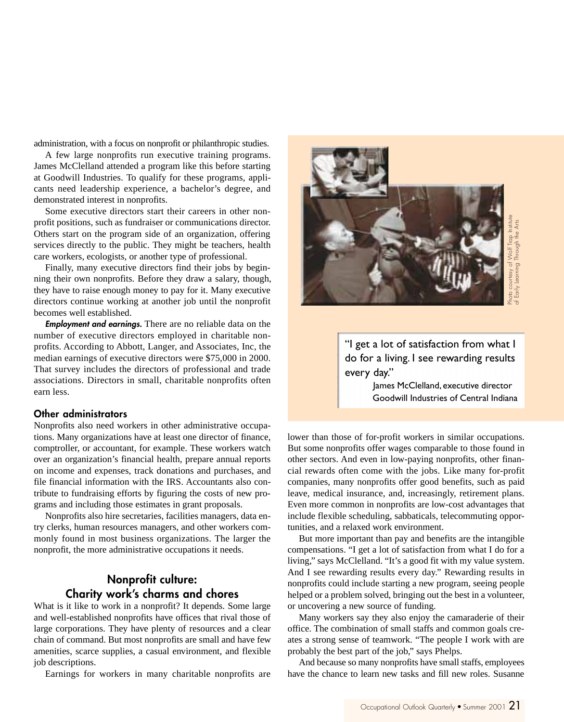administration, with a focus on nonprofit or philanthropic studies.

A few large nonprofits run executive training programs. James McClelland attended a program like this before starting at Goodwill Industries. To qualify for these programs, applicants need leadership experience, a bachelor's degree, and demonstrated interest in nonprofits.

Some executive directors start their careers in other nonprofit positions, such as fundraiser or communications director. Others start on the program side of an organization, offering services directly to the public. They might be teachers, health care workers, ecologists, or another type of professional.

Finally, many executive directors find their jobs by beginning their own nonprofits. Before they draw a salary, though, they have to raise enough money to pay for it. Many executive directors continue working at another job until the nonprofit becomes well established.

**Employment and earnings.** There are no reliable data on the number of executive directors employed in charitable nonprofits. According to Abbott, Langer, and Associates, Inc, the median earnings of executive directors were \$75,000 in 2000. That survey includes the directors of professional and trade associations. Directors in small, charitable nonprofits often earn less.

#### **Other administrators**

Nonprofits also need workers in other administrative occupations. Many organizations have at least one director of finance, comptroller, or accountant, for example. These workers watch over an organization's financial health, prepare annual reports on income and expenses, track donations and purchases, and file financial information with the IRS. Accountants also contribute to fundraising efforts by figuring the costs of new programs and including those estimates in grant proposals.

Nonprofits also hire secretaries, facilities managers, data entry clerks, human resources managers, and other workers commonly found in most business organizations. The larger the nonprofit, the more administrative occupations it needs.

### **Nonprofit culture: Charity work's charms and chores**

What is it like to work in a nonprofit? It depends. Some large and well-established nonprofits have offices that rival those of large corporations. They have plenty of resources and a clear chain of command. But most nonprofits are small and have few amenities, scarce supplies, a casual environment, and flexible job descriptions.

Earnings for workers in many charitable nonprofits are



"I get a lot of satisfaction from what I do for a living. I see rewarding results every day."

> James McClelland, executive director Goodwill Industries of Central Indiana

lower than those of for-profit workers in similar occupations. But some nonprofits offer wages comparable to those found in other sectors. And even in low-paying nonprofits, other financial rewards often come with the jobs. Like many for-profit companies, many nonprofits offer good benefits, such as paid leave, medical insurance, and, increasingly, retirement plans. Even more common in nonprofits are low-cost advantages that include flexible scheduling, sabbaticals, telecommuting opportunities, and a relaxed work environment. Face to learn new tasks and interest and interest and interest and interest and the chance of General Indiana<br>Universe the chance of Graphitan and Susanne McClelland, executive director<br>Goodwill Industries of Central India

But more important than pay and benefits are the intangible compensations. "I get a lot of satisfaction from what I do for a living," says McClelland. "It's a good fit with my value system. And I see rewarding results every day." Rewarding results in nonprofits could include starting a new program, seeing people helped or a problem solved, bringing out the best in a volunteer, or uncovering a new source of funding.

Many workers say they also enjoy the camaraderie of their office. The combination of small staffs and common goals creates a strong sense of teamwork. "The people I work with are probably the best part of the job," says Phelps.

And because so many nonprofits have small staffs, employees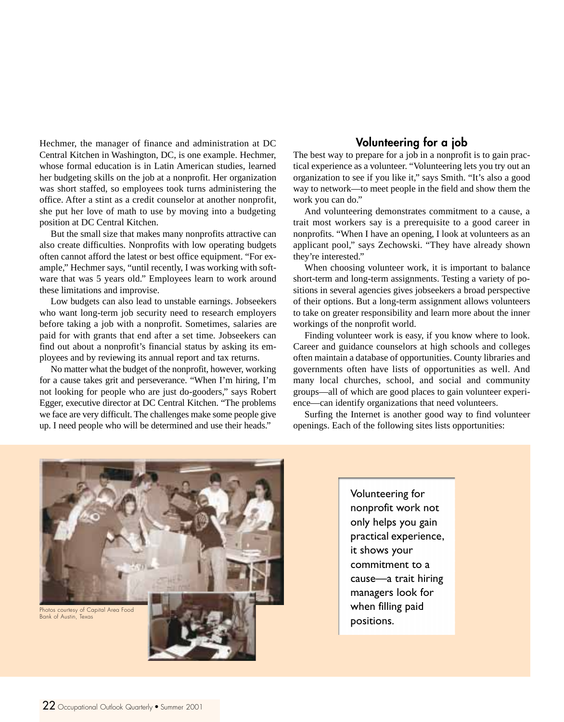Hechmer, the manager of finance and administration at DC Central Kitchen in Washington, DC, is one example. Hechmer, whose formal education is in Latin American studies, learned her budgeting skills on the job at a nonprofit. Her organization was short staffed, so employees took turns administering the office. After a stint as a credit counselor at another nonprofit, she put her love of math to use by moving into a budgeting position at DC Central Kitchen.

But the small size that makes many nonprofits attractive can also create difficulties. Nonprofits with low operating budgets often cannot afford the latest or best office equipment. "For example," Hechmer says, "until recently, I was working with software that was 5 years old." Employees learn to work around these limitations and improvise.

Low budgets can also lead to unstable earnings. Jobseekers who want long-term job security need to research employers before taking a job with a nonprofit. Sometimes, salaries are paid for with grants that end after a set time. Jobseekers can find out about a nonprofit's financial status by asking its employees and by reviewing its annual report and tax returns.

No matter what the budget of the nonprofit, however, working for a cause takes grit and perseverance. "When I'm hiring, I'm not looking for people who are just do-gooders," says Robert Egger, executive director at DC Central Kitchen. "The problems we face are very difficult. The challenges make some people give up. I need people who will be determined and use their heads."

### **Volunteering for a job**

The best way to prepare for a job in a nonprofit is to gain practical experience as a volunteer. "Volunteering lets you try out an organization to see if you like it," says Smith. "It's also a good way to network—to meet people in the field and show them the work you can do."

And volunteering demonstrates commitment to a cause, a trait most workers say is a prerequisite to a good career in nonprofits. "When I have an opening, I look at volunteers as an applicant pool," says Zechowski. "They have already shown they're interested."

When choosing volunteer work, it is important to balance short-term and long-term assignments. Testing a variety of positions in several agencies gives jobseekers a broad perspective of their options. But a long-term assignment allows volunteers to take on greater responsibility and learn more about the inner workings of the nonprofit world.

Finding volunteer work is easy, if you know where to look. Career and guidance counselors at high schools and colleges often maintain a database of opportunities. County libraries and governments often have lists of opportunities as well. And many local churches, school, and social and community groups—all of which are good places to gain volunteer experience—can identify organizations that need volunteers.

Surfing the Internet is another good way to find volunteer openings. Each of the following sites lists opportunities:



Volunteering for nonprofit work not only helps you gain practical experience, it shows your commitment to a cause—a trait hiring managers look for when filling paid positions.